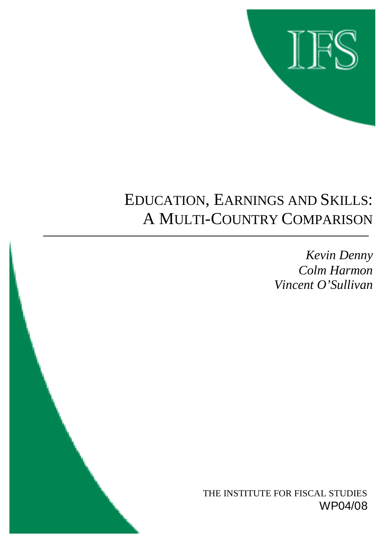

# EDUCATION, EARNINGS AND SKILLS: A MULTI-COUNTRY COMPARISON

*Kevin Denny Colm Harmon Vincent O'Sullivan*

THE INSTITUTE FOR FISCAL STUDIES WP04/08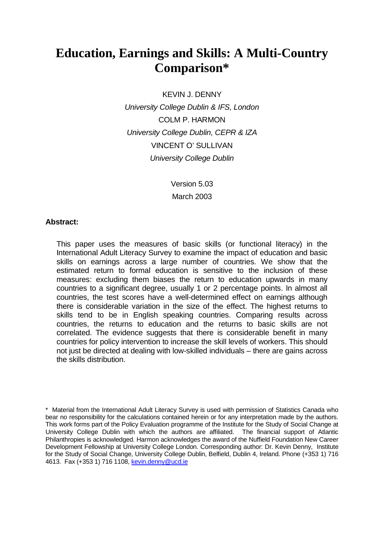# **Education, Earnings and Skills: A Multi-Country Comparison\***

KEVIN J. DENNY

*University College Dublin & IFS, London*  COLM P. HARMON *University College Dublin, CEPR & IZA*  VINCENT O' SULLIVAN *University College Dublin* 

> Version 5.03 March 2003

#### **Abstract:**

This paper uses the measures of basic skills (or functional literacy) in the International Adult Literacy Survey to examine the impact of education and basic skills on earnings across a large number of countries. We show that the estimated return to formal education is sensitive to the inclusion of these measures: excluding them biases the return to education upwards in many countries to a significant degree, usually 1 or 2 percentage points. In almost all countries, the test scores have a well-determined effect on earnings although there is considerable variation in the size of the effect. The highest returns to skills tend to be in English speaking countries. Comparing results across countries, the returns to education and the returns to basic skills are not correlated. The evidence suggests that there is considerable benefit in many countries for policy intervention to increase the skill levels of workers. This should not just be directed at dealing with low-skilled individuals – there are gains across the skills distribution.

\* Material from the International Adult Literacy Survey is used with permission of Statistics Canada who bear no responsibility for the calculations contained herein or for any interpretation made by the authors. This work forms part of the Policy Evaluation programme of the Institute for the Study of Social Change at University College Dublin with which the authors are affiliated. The financial support of Atlantic Philanthropies is acknowledged. Harmon acknowledges the award of the Nuffield Foundation New Career Development Fellowship at University College London. Corresponding author: Dr. Kevin Denny, Institute for the Study of Social Change, University College Dublin, Belfield, Dublin 4, Ireland. Phone (+353 1) 716 4613. Fax (+353 1) 716 1108, kevin.denny@ucd.ie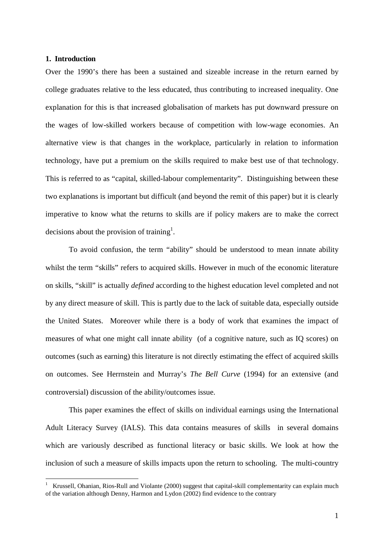#### **1. Introduction**

 $\overline{a}$ 

Over the 1990's there has been a sustained and sizeable increase in the return earned by college graduates relative to the less educated, thus contributing to increased inequality. One explanation for this is that increased globalisation of markets has put downward pressure on the wages of low-skilled workers because of competition with low-wage economies. An alternative view is that changes in the workplace, particularly in relation to information technology, have put a premium on the skills required to make best use of that technology. This is referred to as "capital, skilled-labour complementarity". Distinguishing between these two explanations is important but difficult (and beyond the remit of this paper) but it is clearly imperative to know what the returns to skills are if policy makers are to make the correct decisions about the provision of training<sup>1</sup>.

To avoid confusion, the term "ability" should be understood to mean innate ability whilst the term "skills" refers to acquired skills. However in much of the economic literature on skills, "skill" is actually *defined* according to the highest education level completed and not by any direct measure of skill. This is partly due to the lack of suitable data, especially outside the United States. Moreover while there is a body of work that examines the impact of measures of what one might call innate ability (of a cognitive nature, such as IQ scores) on outcomes (such as earning) this literature is not directly estimating the effect of acquired skills on outcomes. See Herrnstein and Murray's *The Bell Curve* (1994) for an extensive (and controversial) discussion of the ability/outcomes issue.

This paper examines the effect of skills on individual earnings using the International Adult Literacy Survey (IALS). This data contains measures of skills in several domains which are variously described as functional literacy or basic skills. We look at how the inclusion of such a measure of skills impacts upon the return to schooling. The multi-country

<sup>1</sup> Krussell, Ohanian, Rios-Rull and Violante (2000) suggest that capital-skill complementarity can explain much of the variation although Denny, Harmon and  $\dot{\text{Lydon}}$  (2002) find evidence to the contrary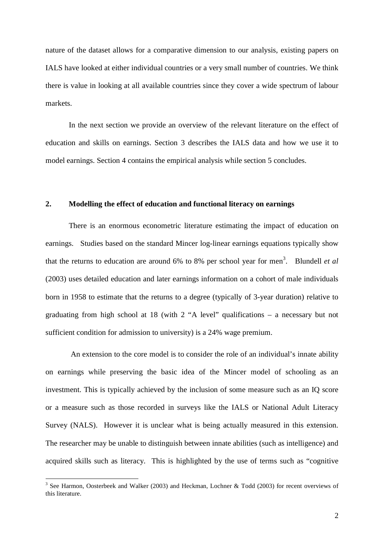nature of the dataset allows for a comparative dimension to our analysis, existing papers on IALS have looked at either individual countries or a very small number of countries. We think there is value in looking at all available countries since they cover a wide spectrum of labour markets.

In the next section we provide an overview of the relevant literature on the effect of education and skills on earnings. Section 3 describes the IALS data and how we use it to model earnings. Section 4 contains the empirical analysis while section 5 concludes.

#### **2. Modelling the effect of education and functional literacy on earnings**

There is an enormous econometric literature estimating the impact of education on earnings. Studies based on the standard Mincer log-linear earnings equations typically show that the returns to education are around 6% to 8% per school year for men<sup>3</sup>. Blundell *et al* (2003) uses detailed education and later earnings information on a cohort of male individuals born in 1958 to estimate that the returns to a degree (typically of 3-year duration) relative to graduating from high school at 18 (with 2 "A level" qualifications – a necessary but not sufficient condition for admission to university) is a 24% wage premium.

 An extension to the core model is to consider the role of an individual's innate ability on earnings while preserving the basic idea of the Mincer model of schooling as an investment. This is typically achieved by the inclusion of some measure such as an IQ score or a measure such as those recorded in surveys like the IALS or National Adult Literacy Survey (NALS). However it is unclear what is being actually measured in this extension. The researcher may be unable to distinguish between innate abilities (such as intelligence) and acquired skills such as literacy. This is highlighted by the use of terms such as "cognitive

 $\overline{a}$ 

<sup>&</sup>lt;sup>3</sup> See Harmon, Oosterbeek and Walker (2003) and Heckman, Lochner & Todd (2003) for recent overviews of this literature.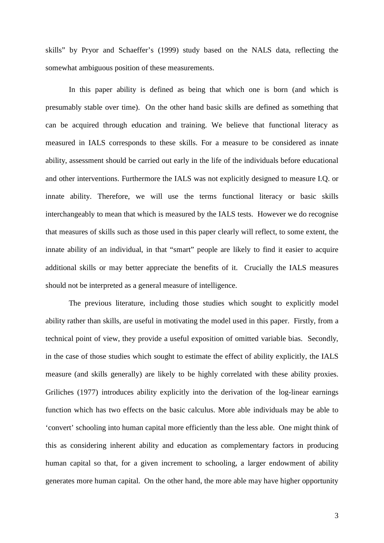skills" by Pryor and Schaeffer's (1999) study based on the NALS data, reflecting the somewhat ambiguous position of these measurements.

 In this paper ability is defined as being that which one is born (and which is presumably stable over time). On the other hand basic skills are defined as something that can be acquired through education and training. We believe that functional literacy as measured in IALS corresponds to these skills. For a measure to be considered as innate ability, assessment should be carried out early in the life of the individuals before educational and other interventions. Furthermore the IALS was not explicitly designed to measure I.Q. or innate ability. Therefore, we will use the terms functional literacy or basic skills interchangeably to mean that which is measured by the IALS tests. However we do recognise that measures of skills such as those used in this paper clearly will reflect, to some extent, the innate ability of an individual, in that "smart" people are likely to find it easier to acquire additional skills or may better appreciate the benefits of it. Crucially the IALS measures should not be interpreted as a general measure of intelligence.

 The previous literature, including those studies which sought to explicitly model ability rather than skills, are useful in motivating the model used in this paper. Firstly, from a technical point of view, they provide a useful exposition of omitted variable bias. Secondly, in the case of those studies which sought to estimate the effect of ability explicitly, the IALS measure (and skills generally) are likely to be highly correlated with these ability proxies. Griliches (1977) introduces ability explicitly into the derivation of the log-linear earnings function which has two effects on the basic calculus. More able individuals may be able to 'convert' schooling into human capital more efficiently than the less able. One might think of this as considering inherent ability and education as complementary factors in producing human capital so that, for a given increment to schooling, a larger endowment of ability generates more human capital. On the other hand, the more able may have higher opportunity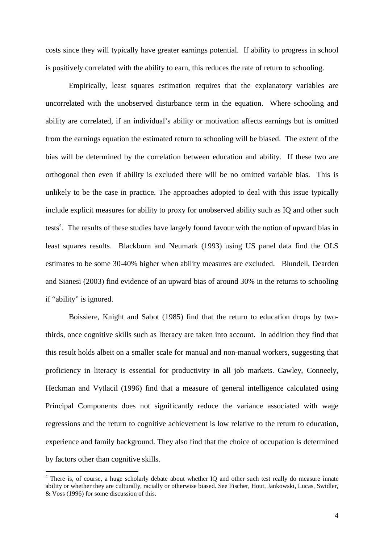costs since they will typically have greater earnings potential. If ability to progress in school is positively correlated with the ability to earn, this reduces the rate of return to schooling.

 Empirically, least squares estimation requires that the explanatory variables are uncorrelated with the unobserved disturbance term in the equation. Where schooling and ability are correlated, if an individual's ability or motivation affects earnings but is omitted from the earnings equation the estimated return to schooling will be biased. The extent of the bias will be determined by the correlation between education and ability. If these two are orthogonal then even if ability is excluded there will be no omitted variable bias. This is unlikely to be the case in practice. The approaches adopted to deal with this issue typically include explicit measures for ability to proxy for unobserved ability such as IQ and other such tests<sup>4</sup>. The results of these studies have largely found favour with the notion of upward bias in least squares results. Blackburn and Neumark (1993) using US panel data find the OLS estimates to be some 30-40% higher when ability measures are excluded. Blundell, Dearden and Sianesi (2003) find evidence of an upward bias of around 30% in the returns to schooling if "ability" is ignored.

Boissiere, Knight and Sabot (1985) find that the return to education drops by twothirds, once cognitive skills such as literacy are taken into account. In addition they find that this result holds albeit on a smaller scale for manual and non-manual workers, suggesting that proficiency in literacy is essential for productivity in all job markets. Cawley, Conneely, Heckman and Vytlacil (1996) find that a measure of general intelligence calculated using Principal Components does not significantly reduce the variance associated with wage regressions and the return to cognitive achievement is low relative to the return to education, experience and family background. They also find that the choice of occupation is determined by factors other than cognitive skills.

<sup>&</sup>lt;sup>4</sup> There is, of course, a huge scholarly debate about whether IQ and other such test really do measure innate ability or whether they are culturally, racially or otherwise biased. See Fischer, Hout, Jankowski, Lucas, Swidler, & Voss (1996) for some discussion of this.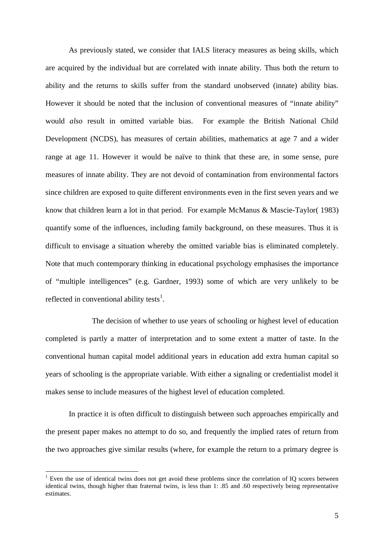As previously stated, we consider that IALS literacy measures as being skills, which are acquired by the individual but are correlated with innate ability. Thus both the return to ability and the returns to skills suffer from the standard unobserved (innate) ability bias. However it should be noted that the inclusion of conventional measures of "innate ability" would *also* result in omitted variable bias. For example the British National Child Development (NCDS), has measures of certain abilities, mathematics at age 7 and a wider range at age 11. However it would be naïve to think that these are, in some sense, pure measures of innate ability. They are not devoid of contamination from environmental factors since children are exposed to quite different environments even in the first seven years and we know that children learn a lot in that period. For example McManus & Mascie-Taylor( 1983) quantify some of the influences, including family background, on these measures. Thus it is difficult to envisage a situation whereby the omitted variable bias is eliminated completely. Note that much contemporary thinking in educational psychology emphasises the importance of "multiple intelligences" (e.g. Gardner, 1993) some of which are very unlikely to be reflected in conventional ability tests<sup>1</sup>.

 The decision of whether to use years of schooling or highest level of education completed is partly a matter of interpretation and to some extent a matter of taste. In the conventional human capital model additional years in education add extra human capital so years of schooling is the appropriate variable. With either a signaling or credentialist model it makes sense to include measures of the highest level of education completed.

In practice it is often difficult to distinguish between such approaches empirically and the present paper makes no attempt to do so, and frequently the implied rates of return from the two approaches give similar results (where, for example the return to a primary degree is

 $\overline{a}$ 

<sup>&</sup>lt;sup>1</sup> Even the use of identical twins does not get avoid these problems since the correlation of IQ scores between identical twins, though higher than fraternal twins, is less than 1: .85 and .60 respectively being representative estimates.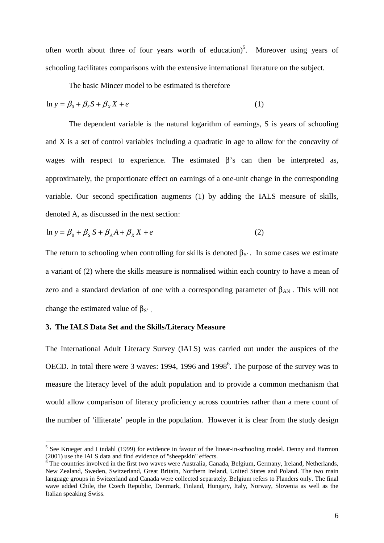often worth about three of four years worth of education)<sup>5</sup>. Moreover using years of schooling facilitates comparisons with the extensive international literature on the subject.

The basic Mincer model to be estimated is therefore

$$
\ln y = \beta_0 + \beta_S S + \beta_X X + e \tag{1}
$$

The dependent variable is the natural logarithm of earnings, S is years of schooling and X is a set of control variables including a quadratic in age to allow for the concavity of wages with respect to experience. The estimated β's can then be interpreted as, approximately, the proportionate effect on earnings of a one-unit change in the corresponding variable. Our second specification augments (1) by adding the IALS measure of skills, denoted A, as discussed in the next section:

$$
\ln y = \beta_0 + \beta_s S + \beta_A A + \beta_X X + e \tag{2}
$$

The return to schooling when controlling for skills is denoted  $\beta_S$ . In some cases we estimate a variant of (2) where the skills measure is normalised within each country to have a mean of zero and a standard deviation of one with a corresponding parameter of  $\beta_{AN}$ . This will not change the estimated value of  $\beta_{S'}$ .

#### **3. The IALS Data Set and the Skills/Literacy Measure**

 $\overline{a}$ 

The International Adult Literacy Survey (IALS) was carried out under the auspices of the OECD. In total there were 3 waves: 1994, 1996 and 1998<sup>6</sup>. The purpose of the survey was to measure the literacy level of the adult population and to provide a common mechanism that would allow comparison of literacy proficiency across countries rather than a mere count of the number of 'illiterate' people in the population. However it is clear from the study design

<sup>&</sup>lt;sup>5</sup> See Krueger and Lindahl (1999) for evidence in favour of the linear-in-schooling model. Denny and Harmon (2001) use the IALS data and find evidence of "sheepskin" effects.

<sup>&</sup>lt;sup>6</sup> The countries involved in the first two waves were Australia, Canada, Belgium, Germany, Ireland, Netherlands, New Zealand, Sweden, Switzerland, Great Britain, Northern Ireland, United States and Poland. The two main language groups in Switzerland and Canada were collected separately. Belgium refers to Flanders only. The final wave added Chile, the Czech Republic, Denmark, Finland, Hungary, Italy, Norway, Slovenia as well as the Italian speaking Swiss.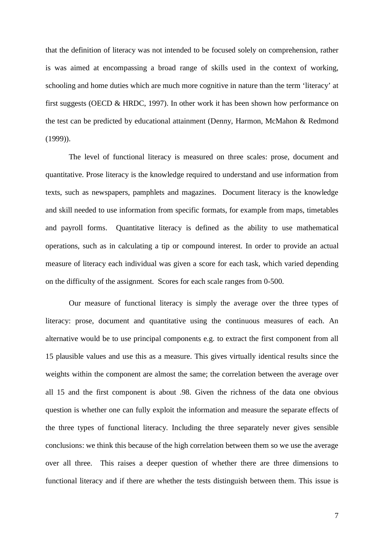that the definition of literacy was not intended to be focused solely on comprehension, rather is was aimed at encompassing a broad range of skills used in the context of working, schooling and home duties which are much more cognitive in nature than the term 'literacy' at first suggests (OECD & HRDC, 1997). In other work it has been shown how performance on the test can be predicted by educational attainment (Denny, Harmon, McMahon & Redmond (1999)).

 The level of functional literacy is measured on three scales: prose, document and quantitative. Prose literacy is the knowledge required to understand and use information from texts, such as newspapers, pamphlets and magazines. Document literacy is the knowledge and skill needed to use information from specific formats, for example from maps, timetables and payroll forms. Quantitative literacy is defined as the ability to use mathematical operations, such as in calculating a tip or compound interest. In order to provide an actual measure of literacy each individual was given a score for each task, which varied depending on the difficulty of the assignment. Scores for each scale ranges from 0-500.

 Our measure of functional literacy is simply the average over the three types of literacy: prose, document and quantitative using the continuous measures of each. An alternative would be to use principal components e.g. to extract the first component from all 15 plausible values and use this as a measure. This gives virtually identical results since the weights within the component are almost the same; the correlation between the average over all 15 and the first component is about .98. Given the richness of the data one obvious question is whether one can fully exploit the information and measure the separate effects of the three types of functional literacy. Including the three separately never gives sensible conclusions: we think this because of the high correlation between them so we use the average over all three. This raises a deeper question of whether there are three dimensions to functional literacy and if there are whether the tests distinguish between them. This issue is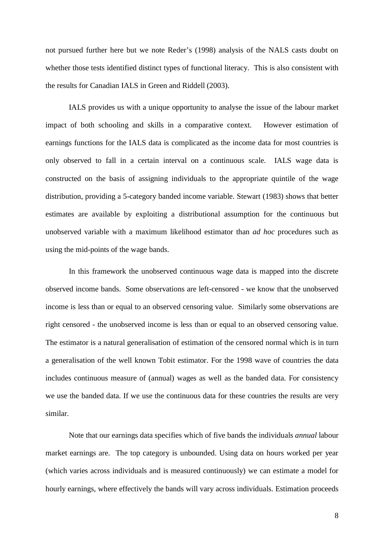not pursued further here but we note Reder's (1998) analysis of the NALS casts doubt on whether those tests identified distinct types of functional literacy. This is also consistent with the results for Canadian IALS in Green and Riddell (2003).

 IALS provides us with a unique opportunity to analyse the issue of the labour market impact of both schooling and skills in a comparative context. However estimation of earnings functions for the IALS data is complicated as the income data for most countries is only observed to fall in a certain interval on a continuous scale. IALS wage data is constructed on the basis of assigning individuals to the appropriate quintile of the wage distribution, providing a 5-category banded income variable. Stewart (1983) shows that better estimates are available by exploiting a distributional assumption for the continuous but unobserved variable with a maximum likelihood estimator than *ad hoc* procedures such as using the mid-points of the wage bands.

In this framework the unobserved continuous wage data is mapped into the discrete observed income bands. Some observations are left-censored - we know that the unobserved income is less than or equal to an observed censoring value. Similarly some observations are right censored - the unobserved income is less than or equal to an observed censoring value. The estimator is a natural generalisation of estimation of the censored normal which is in turn a generalisation of the well known Tobit estimator. For the 1998 wave of countries the data includes continuous measure of (annual) wages as well as the banded data. For consistency we use the banded data. If we use the continuous data for these countries the results are very similar.

Note that our earnings data specifies which of five bands the individuals *annual* labour market earnings are. The top category is unbounded. Using data on hours worked per year (which varies across individuals and is measured continuously) we can estimate a model for hourly earnings, where effectively the bands will vary across individuals. Estimation proceeds

8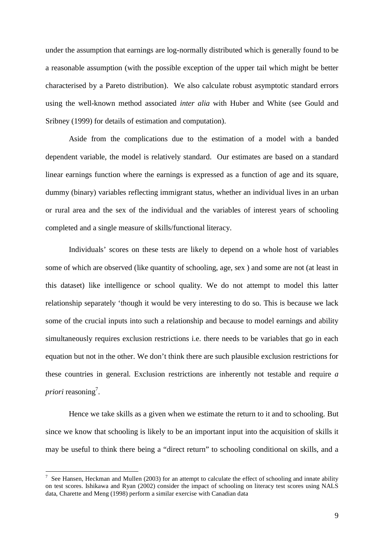under the assumption that earnings are log-normally distributed which is generally found to be a reasonable assumption (with the possible exception of the upper tail which might be better characterised by a Pareto distribution). We also calculate robust asymptotic standard errors using the well-known method associated *inter alia* with Huber and White (see Gould and Sribney (1999) for details of estimation and computation).

Aside from the complications due to the estimation of a model with a banded dependent variable, the model is relatively standard. Our estimates are based on a standard linear earnings function where the earnings is expressed as a function of age and its square, dummy (binary) variables reflecting immigrant status, whether an individual lives in an urban or rural area and the sex of the individual and the variables of interest years of schooling completed and a single measure of skills/functional literacy.

Individuals' scores on these tests are likely to depend on a whole host of variables some of which are observed (like quantity of schooling, age, sex ) and some are not (at least in this dataset) like intelligence or school quality. We do not attempt to model this latter relationship separately 'though it would be very interesting to do so. This is because we lack some of the crucial inputs into such a relationship and because to model earnings and ability simultaneously requires exclusion restrictions i.e. there needs to be variables that go in each equation but not in the other. We don't think there are such plausible exclusion restrictions for these countries in general. Exclusion restrictions are inherently not testable and require *a priori* reasoning<sup>7</sup>.

Hence we take skills as a given when we estimate the return to it and to schooling. But since we know that schooling is likely to be an important input into the acquisition of skills it may be useful to think there being a "direct return" to schooling conditional on skills, and a

 $\overline{a}$ 

<sup>7</sup> See Hansen, Heckman and Mullen (2003) for an attempt to calculate the effect of schooling and innate ability on test scores. Ishikawa and Ryan (2002) consider the impact of schooling on literacy test scores using NALS data, Charette and Meng (1998) perform a similar exercise with Canadian data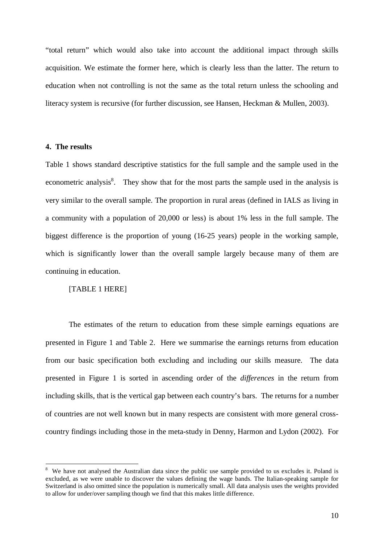"total return" which would also take into account the additional impact through skills acquisition. We estimate the former here, which is clearly less than the latter. The return to education when not controlling is not the same as the total return unless the schooling and literacy system is recursive (for further discussion, see Hansen, Heckman & Mullen, 2003).

#### **4. The results**

 $\overline{a}$ 

Table 1 shows standard descriptive statistics for the full sample and the sample used in the econometric analysis<sup>8</sup>. They show that for the most parts the sample used in the analysis is very similar to the overall sample. The proportion in rural areas (defined in IALS as living in a community with a population of 20,000 or less) is about 1% less in the full sample. The biggest difference is the proportion of young (16-25 years) people in the working sample, which is significantly lower than the overall sample largely because many of them are continuing in education.

#### [TABLE 1 HERE]

 The estimates of the return to education from these simple earnings equations are presented in Figure 1 and Table 2. Here we summarise the earnings returns from education from our basic specification both excluding and including our skills measure. The data presented in Figure 1 is sorted in ascending order of the *differences* in the return from including skills, that is the vertical gap between each country's bars. The returns for a number of countries are not well known but in many respects are consistent with more general crosscountry findings including those in the meta-study in Denny, Harmon and Lydon (2002). For

<sup>8</sup> We have not analysed the Australian data since the public use sample provided to us excludes it. Poland is excluded, as we were unable to discover the values defining the wage bands. The Italian-speaking sample for Switzerland is also omitted since the population is numerically small. All data analysis uses the weights provided to allow for under/over sampling though we find that this makes little difference.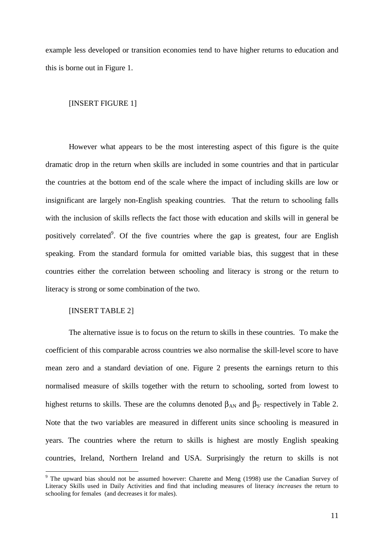example less developed or transition economies tend to have higher returns to education and this is borne out in Figure 1.

#### [INSERT FIGURE 1]

However what appears to be the most interesting aspect of this figure is the quite dramatic drop in the return when skills are included in some countries and that in particular the countries at the bottom end of the scale where the impact of including skills are low or insignificant are largely non-English speaking countries. That the return to schooling falls with the inclusion of skills reflects the fact those with education and skills will in general be positively correlated<sup>9</sup>. Of the five countries where the gap is greatest, four are English speaking. From the standard formula for omitted variable bias, this suggest that in these countries either the correlation between schooling and literacy is strong or the return to literacy is strong or some combination of the two.

#### [INSERT TABLE 2]

 $\overline{a}$ 

The alternative issue is to focus on the return to skills in these countries. To make the coefficient of this comparable across countries we also normalise the skill-level score to have mean zero and a standard deviation of one. Figure 2 presents the earnings return to this normalised measure of skills together with the return to schooling, sorted from lowest to highest returns to skills. These are the columns denoted  $β_{AN}$  and  $β_S$  respectively in Table 2. Note that the two variables are measured in different units since schooling is measured in years. The countries where the return to skills is highest are mostly English speaking countries, Ireland, Northern Ireland and USA. Surprisingly the return to skills is not

 $9$  The upward bias should not be assumed however: Charette and Meng (1998) use the Canadian Survey of Literacy Skills used in Daily Activities and find that including measures of literacy *increases* the return to schooling for females (and decreases it for males).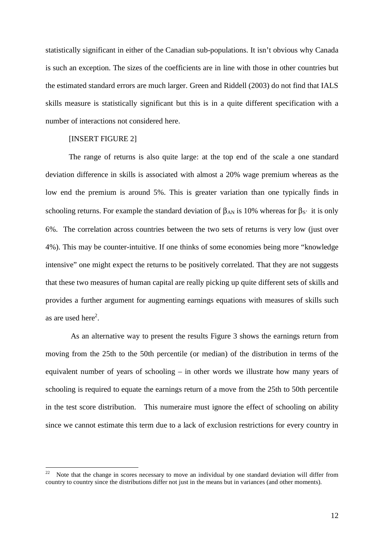statistically significant in either of the Canadian sub-populations. It isn't obvious why Canada is such an exception. The sizes of the coefficients are in line with those in other countries but the estimated standard errors are much larger. Green and Riddell (2003) do not find that IALS skills measure is statistically significant but this is in a quite different specification with a number of interactions not considered here.

#### [INSERT FIGURE 2]

 $\overline{a}$ 

 The range of returns is also quite large: at the top end of the scale a one standard deviation difference in skills is associated with almost a 20% wage premium whereas as the low end the premium is around 5%. This is greater variation than one typically finds in schooling returns. For example the standard deviation of  $\beta_{AN}$  is 10% whereas for  $\beta_{S'}$  it is only 6%. The correlation across countries between the two sets of returns is very low (just over 4%). This may be counter-intuitive. If one thinks of some economies being more "knowledge intensive" one might expect the returns to be positively correlated. That they are not suggests that these two measures of human capital are really picking up quite different sets of skills and provides a further argument for augmenting earnings equations with measures of skills such as are used here $2$ .

 As an alternative way to present the results Figure 3 shows the earnings return from moving from the 25th to the 50th percentile (or median) of the distribution in terms of the equivalent number of years of schooling – in other words we illustrate how many years of schooling is required to equate the earnings return of a move from the 25th to 50th percentile in the test score distribution. This numeraire must ignore the effect of schooling on ability since we cannot estimate this term due to a lack of exclusion restrictions for every country in

Note that the change in scores necessary to move an individual by one standard deviation will differ from country to country since the distributions differ not just in the means but in variances (and other moments).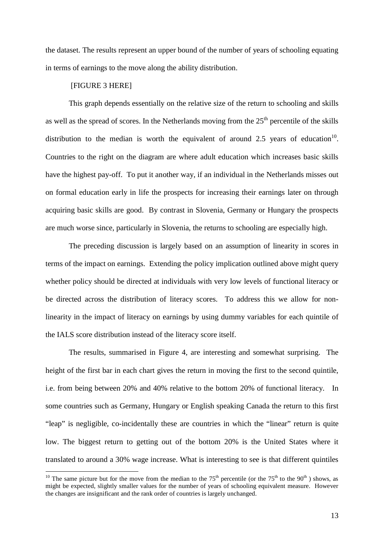the dataset. The results represent an upper bound of the number of years of schooling equating in terms of earnings to the move along the ability distribution.

#### [FIGURE 3 HERE]

 $\overline{a}$ 

This graph depends essentially on the relative size of the return to schooling and skills as well as the spread of scores. In the Netherlands moving from the  $25<sup>th</sup>$  percentile of the skills distribution to the median is worth the equivalent of around 2.5 years of education<sup>10</sup>. Countries to the right on the diagram are where adult education which increases basic skills have the highest pay-off. To put it another way, if an individual in the Netherlands misses out on formal education early in life the prospects for increasing their earnings later on through acquiring basic skills are good. By contrast in Slovenia, Germany or Hungary the prospects are much worse since, particularly in Slovenia, the returns to schooling are especially high.

 The preceding discussion is largely based on an assumption of linearity in scores in terms of the impact on earnings. Extending the policy implication outlined above might query whether policy should be directed at individuals with very low levels of functional literacy or be directed across the distribution of literacy scores. To address this we allow for nonlinearity in the impact of literacy on earnings by using dummy variables for each quintile of the IALS score distribution instead of the literacy score itself.

The results, summarised in Figure 4, are interesting and somewhat surprising. The height of the first bar in each chart gives the return in moving the first to the second quintile, i.e. from being between 20% and 40% relative to the bottom 20% of functional literacy. In some countries such as Germany, Hungary or English speaking Canada the return to this first "leap" is negligible, co-incidentally these are countries in which the "linear" return is quite low. The biggest return to getting out of the bottom 20% is the United States where it translated to around a 30% wage increase. What is interesting to see is that different quintiles

<sup>&</sup>lt;sup>10</sup> The same picture but for the move from the median to the  $75<sup>th</sup>$  percentile (or the  $75<sup>th</sup>$  to the  $90<sup>th</sup>$ ) shows, as might be expected, slightly smaller values for the number of years of schooling equivalent measure. However the changes are insignificant and the rank order of countries is largely unchanged.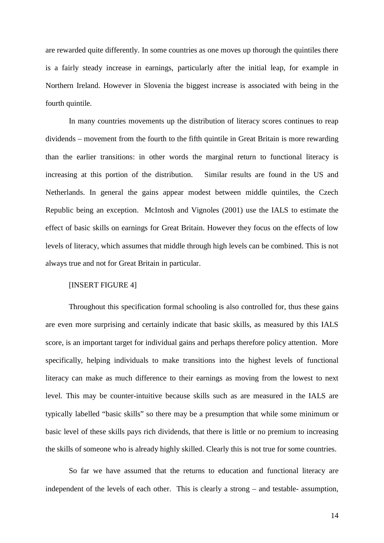are rewarded quite differently. In some countries as one moves up thorough the quintiles there is a fairly steady increase in earnings, particularly after the initial leap, for example in Northern Ireland. However in Slovenia the biggest increase is associated with being in the fourth quintile.

In many countries movements up the distribution of literacy scores continues to reap dividends – movement from the fourth to the fifth quintile in Great Britain is more rewarding than the earlier transitions: in other words the marginal return to functional literacy is increasing at this portion of the distribution. Similar results are found in the US and Netherlands. In general the gains appear modest between middle quintiles, the Czech Republic being an exception. McIntosh and Vignoles (2001) use the IALS to estimate the effect of basic skills on earnings for Great Britain. However they focus on the effects of low levels of literacy, which assumes that middle through high levels can be combined. This is not always true and not for Great Britain in particular.

#### [INSERT FIGURE 4]

Throughout this specification formal schooling is also controlled for, thus these gains are even more surprising and certainly indicate that basic skills, as measured by this IALS score, is an important target for individual gains and perhaps therefore policy attention. More specifically, helping individuals to make transitions into the highest levels of functional literacy can make as much difference to their earnings as moving from the lowest to next level. This may be counter-intuitive because skills such as are measured in the IALS are typically labelled "basic skills" so there may be a presumption that while some minimum or basic level of these skills pays rich dividends, that there is little or no premium to increasing the skills of someone who is already highly skilled. Clearly this is not true for some countries.

So far we have assumed that the returns to education and functional literacy are independent of the levels of each other. This is clearly a strong – and testable- assumption,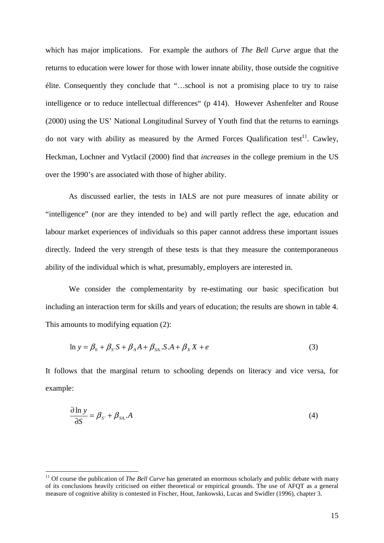which has major implications. For example the authors of *The Bell Curve* argue that the returns to education were lower for those with lower innate ability, those outside the cognitive élite. Consequently they conclude that "…school is not a promising place to try to raise intelligence or to reduce intellectual differences" (p 414). However Ashenfelter and Rouse (2000) using the US' National Longitudinal Survey of Youth find that the returns to earnings do not vary with ability as measured by the Armed Forces Qualification test<sup>11</sup>. Cawley, Heckman, Lochner and Vytlacil (2000) find that *increases* in the college premium in the US over the 1990's are associated with those of higher ability.

As discussed earlier, the tests in IALS are not pure measures of innate ability or "intelligence" (nor are they intended to be) and will partly reflect the age, education and labour market experiences of individuals so this paper cannot address these important issues directly. Indeed the very strength of these tests is that they measure the contemporaneous ability of the individual which is what, presumably, employers are interested in.

We consider the complementarity by re-estimating our basic specification but including an interaction term for skills and years of education; the results are shown in table 4. This amounts to modifying equation (2):

$$
\ln y = \beta_0 + \beta_{S} S + \beta_A A + \beta_{SA} S A + \beta_X X + e \tag{3}
$$

It follows that the marginal return to schooling depends on literacy and vice versa, for example:

$$
\frac{\partial \ln y}{\partial S} = \beta_{S} + \beta_{SA} A \tag{4}
$$

 $\overline{a}$ 

<sup>&</sup>lt;sup>11</sup> Of course the publication of *The Bell Curve* has generated an enormous scholarly and public debate with many of its conclusions heavily criticised on either theoretical or empirical grounds. The use of AFQT as a general measure of cognitive ability is contested in Fischer, Hout, Jankowski, Lucas and Swidler (1996), chapter 3.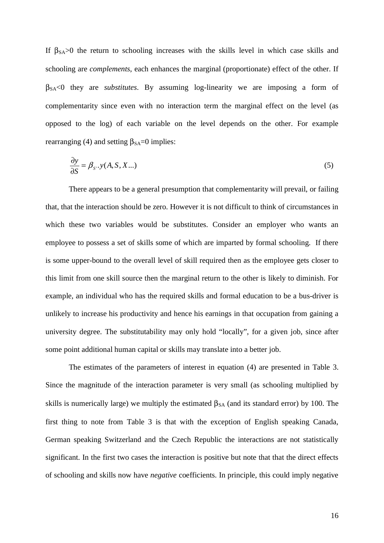If  $\beta_{SA} > 0$  the return to schooling increases with the skills level in which case skills and schooling are *complements*, each enhances the marginal (proportionate) effect of the other. If βSA<0 they are *substitutes*. By assuming log-linearity we are imposing a form of complementarity since even with no interaction term the marginal effect on the level (as opposed to the log) of each variable on the level depends on the other. For example rearranging (4) and setting  $β<sub>SA</sub>=0$  implies:

$$
\frac{\partial y}{\partial S} = \beta_{S} \cdot y(A, S, X \dots) \tag{5}
$$

There appears to be a general presumption that complementarity will prevail, or failing that, that the interaction should be zero. However it is not difficult to think of circumstances in which these two variables would be substitutes. Consider an employer who wants an employee to possess a set of skills some of which are imparted by formal schooling. If there is some upper-bound to the overall level of skill required then as the employee gets closer to this limit from one skill source then the marginal return to the other is likely to diminish. For example, an individual who has the required skills and formal education to be a bus-driver is unlikely to increase his productivity and hence his earnings in that occupation from gaining a university degree. The substitutability may only hold "locally", for a given job, since after some point additional human capital or skills may translate into a better job.

The estimates of the parameters of interest in equation (4) are presented in Table 3. Since the magnitude of the interaction parameter is very small (as schooling multiplied by skills is numerically large) we multiply the estimated  $\beta_{SA}$  (and its standard error) by 100. The first thing to note from Table 3 is that with the exception of English speaking Canada, German speaking Switzerland and the Czech Republic the interactions are not statistically significant. In the first two cases the interaction is positive but note that that the direct effects of schooling and skills now have *negative* coefficients. In principle, this could imply negative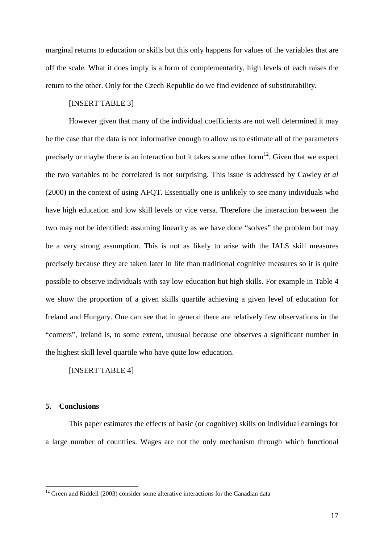marginal returns to education or skills but this only happens for values of the variables that are off the scale. What it does imply is a form of complementarity, high levels of each raises the return to the other. Only for the Czech Republic do we find evidence of substitutability.

#### [INSERT TABLE 3]

However given that many of the individual coefficients are not well determined it may be the case that the data is not informative enough to allow us to estimate all of the parameters precisely or maybe there is an interaction but it takes some other form<sup>12</sup>. Given that we expect the two variables to be correlated is not surprising. This issue is addressed by Cawley *et al* (2000) in the context of using AFQT. Essentially one is unlikely to see many individuals who have high education and low skill levels or vice versa. Therefore the interaction between the two may not be identified: assuming linearity as we have done "solves" the problem but may be a very strong assumption. This is not as likely to arise with the IALS skill measures precisely because they are taken later in life than traditional cognitive measures so it is quite possible to observe individuals with say low education but high skills. For example in Table 4 we show the proportion of a given skills quartile achieving a given level of education for Ireland and Hungary. One can see that in general there are relatively few observations in the "corners", Ireland is, to some extent, unusual because one observes a significant number in the highest skill level quartile who have quite low education.

[INSERT TABLE 4]

#### **5. Conclusions**

 $\overline{a}$ 

 This paper estimates the effects of basic (or cognitive) skills on individual earnings for a large number of countries. Wages are not the only mechanism through which functional

 $12$  Green and Riddell (2003) consider some alterative interactions for the Canadian data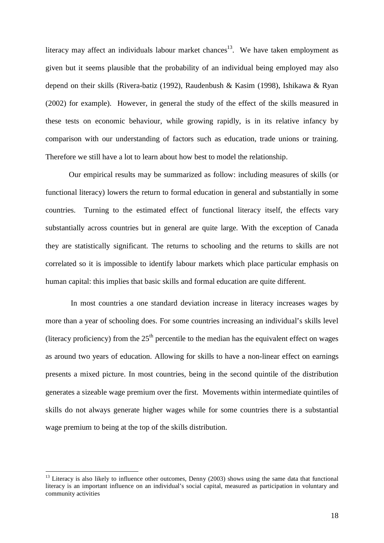literacy may affect an individuals labour market chances<sup>13</sup>. We have taken employment as given but it seems plausible that the probability of an individual being employed may also depend on their skills (Rivera-batiz (1992), Raudenbush & Kasim (1998), Ishikawa & Ryan (2002) for example). However, in general the study of the effect of the skills measured in these tests on economic behaviour, while growing rapidly, is in its relative infancy by comparison with our understanding of factors such as education, trade unions or training. Therefore we still have a lot to learn about how best to model the relationship.

Our empirical results may be summarized as follow: including measures of skills (or functional literacy) lowers the return to formal education in general and substantially in some countries. Turning to the estimated effect of functional literacy itself, the effects vary substantially across countries but in general are quite large. With the exception of Canada they are statistically significant. The returns to schooling and the returns to skills are not correlated so it is impossible to identify labour markets which place particular emphasis on human capital: this implies that basic skills and formal education are quite different.

 In most countries a one standard deviation increase in literacy increases wages by more than a year of schooling does. For some countries increasing an individual's skills level (literacy proficiency) from the  $25<sup>th</sup>$  percentile to the median has the equivalent effect on wages as around two years of education. Allowing for skills to have a non-linear effect on earnings presents a mixed picture. In most countries, being in the second quintile of the distribution generates a sizeable wage premium over the first. Movements within intermediate quintiles of skills do not always generate higher wages while for some countries there is a substantial wage premium to being at the top of the skills distribution.

 $\overline{a}$ 

 $^{13}$  Literacy is also likely to influence other outcomes, Denny (2003) shows using the same data that functional literacy is an important influence on an individual's social capital, measured as participation in voluntary and community activities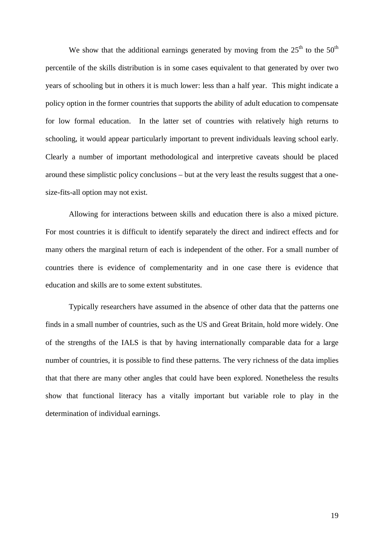We show that the additional earnings generated by moving from the  $25<sup>th</sup>$  to the  $50<sup>th</sup>$ percentile of the skills distribution is in some cases equivalent to that generated by over two years of schooling but in others it is much lower: less than a half year. This might indicate a policy option in the former countries that supports the ability of adult education to compensate for low formal education. In the latter set of countries with relatively high returns to schooling, it would appear particularly important to prevent individuals leaving school early. Clearly a number of important methodological and interpretive caveats should be placed around these simplistic policy conclusions – but at the very least the results suggest that a onesize-fits-all option may not exist.

Allowing for interactions between skills and education there is also a mixed picture. For most countries it is difficult to identify separately the direct and indirect effects and for many others the marginal return of each is independent of the other. For a small number of countries there is evidence of complementarity and in one case there is evidence that education and skills are to some extent substitutes.

Typically researchers have assumed in the absence of other data that the patterns one finds in a small number of countries, such as the US and Great Britain, hold more widely. One of the strengths of the IALS is that by having internationally comparable data for a large number of countries, it is possible to find these patterns. The very richness of the data implies that that there are many other angles that could have been explored. Nonetheless the results show that functional literacy has a vitally important but variable role to play in the determination of individual earnings.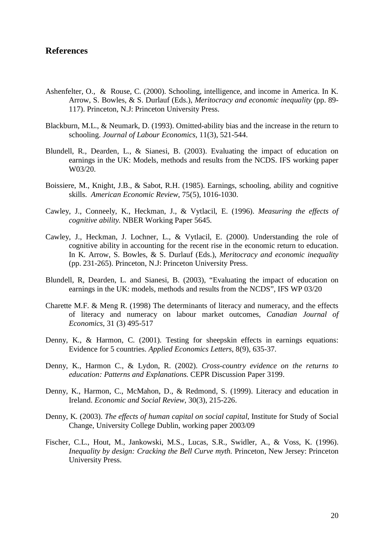### **References**

- Ashenfelter, O., & Rouse, C. (2000). Schooling, intelligence, and income in America. In K. Arrow, S. Bowles, & S. Durlauf (Eds.), *Meritocracy and economic inequality* (pp. 89- 117). Princeton, N.J: Princeton University Press.
- Blackburn, M.L., & Neumark, D. (1993). Omitted-ability bias and the increase in the return to schooling. *Journal of Labour Economics,* 11(3), 521-544.
- Blundell, R., Dearden, L., & Sianesi, B. (2003). Evaluating the impact of education on earnings in the UK: Models, methods and results from the NCDS. IFS working paper W03/20.
- Boissiere, M., Knight, J.B., & Sabot, R.H. (1985). Earnings, schooling, ability and cognitive skills. *American Economic Review*, 75(5), 1016-1030.
- Cawley, J., Conneely, K., Heckman, J., & Vytlacil, E. (1996). *Measuring the effects of cognitive ability.* NBER Working Paper 5645*.*
- Cawley, J., Heckman, J. Lochner, L., & Vytlacil, E. (2000). Understanding the role of cognitive ability in accounting for the recent rise in the economic return to education. In K. Arrow, S. Bowles, & S. Durlauf (Eds.), *Meritocracy and economic inequality* (pp. 231-265). Princeton, N.J: Princeton University Press.
- Blundell, R, Dearden, L. and Sianesi, B. (2003), "Evaluating the impact of education on earnings in the UK: models, methods and results from the NCDS", IFS WP 03/20
- Charette M.F. & Meng R. (1998) The determinants of literacy and numeracy, and the effects of literacy and numeracy on labour market outcomes, *Canadian Journal of Economics*, 31 (3) 495-517
- Denny, K., & Harmon, C. (2001). Testing for sheepskin effects in earnings equations: Evidence for 5 countries. *Applied Economics Letters*, 8(9), 635-37.
- Denny, K., Harmon C., & Lydon, R. (2002). *Cross-country evidence on the returns to education: Patterns and Explanations.* CEPR Discussion Paper 3199.
- Denny, K., Harmon, C., McMahon, D., & Redmond, S. (1999). Literacy and education in Ireland. *Economic and Social Review*, 30(3), 215-226.
- Denny, K. (2003). *The effects of human capital on social capital*, Institute for Study of Social Change, University College Dublin, working paper 2003/09
- Fischer, C.L., Hout, M., Jankowski, M.S., Lucas, S.R., Swidler, A., & Voss, K. (1996). *Inequality by design: Cracking the Bell Curve myth. Princeton, New Jersey: Princeton* University Press.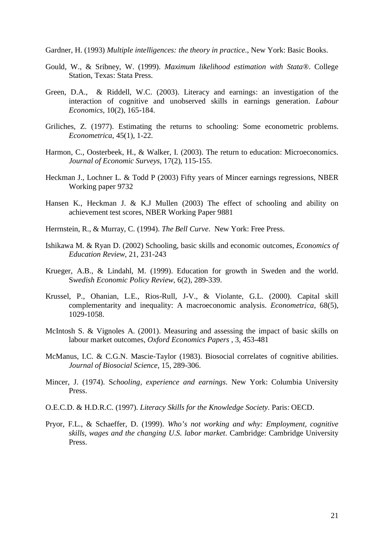Gardner, H. (1993) *Multiple intelligences: the theory in practice*., New York: Basic Books.

- Gould, W., & Sribney, W. (1999). *Maximum likelihood estimation with Stata®*. College Station, Texas: Stata Press.
- Green, D.A., & Riddell, W.C. (2003). Literacy and earnings: an investigation of the interaction of cognitive and unobserved skills in earnings generation. *Labour Economics,* 10(2), 165-184.
- Griliches, Z. (1977). Estimating the returns to schooling: Some econometric problems. *Econometrica*, 45(1), 1-22.
- Harmon, C., Oosterbeek, H., & Walker, I. (2003). The return to education: Microeconomics. *Journal of Economic Surveys,* 17(2), 115-155.
- Heckman J., Lochner L. & Todd P (2003) Fifty years of Mincer earnings regressions, NBER Working paper 9732
- Hansen K., Heckman J. & K.J Mullen (2003) The effect of schooling and ability on achievement test scores, NBER Working Paper 9881
- Herrnstein, R., & Murray, C. (1994). *The Bell Curve*. New York: Free Press.
- Ishikawa M. & Ryan D. (2002) Schooling, basic skills and economic outcomes, *Economics of Education Review*, 21, 231-243
- Krueger, A.B., & Lindahl, M. (1999). Education for growth in Sweden and the world. S*wedish Economic Policy Review*, 6(2), 289-339.
- Krussel, P., Ohanian, L.E., Rios-Rull, J-V., & Violante, G.L. (2000). Capital skill complementarity and inequality: A macroeconomic analysis. *Econometrica*, 68(5), 1029-1058.
- McIntosh S. & Vignoles A. (2001). Measuring and assessing the impact of basic skills on labour market outcomes, *Oxford Economics Papers* , 3, 453-481
- McManus, I.C. & C.G.N. Mascie-Taylor (1983). Biosocial correlates of cognitive abilities. *Journal of Biosocial Science*, 15, 289-306.
- Mincer, J. (1974). S*chooling, experience and earnings*. New York: Columbia University Press.
- O.E.C.D. & H.D.R.C. (1997). *Literacy Skills for the Knowledge Society*. Paris: OECD.
- Pryor, F.L., & Schaeffer, D. (1999). *Who's not working and why: Employment, cognitive skills, wages and the changing U.S. labor market*. Cambridge: Cambridge University Press.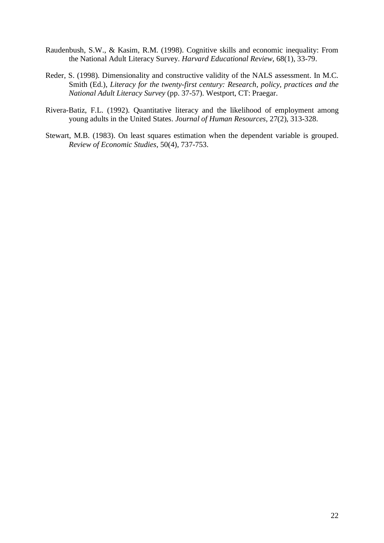- Raudenbush, S.W., & Kasim, R.M. (1998). Cognitive skills and economic inequality: From the National Adult Literacy Survey. *Harvard Educational Review*, 68(1), 33-79.
- Reder, S. (1998). Dimensionality and constructive validity of the NALS assessment. In M.C. Smith (Ed.), *Literacy for the twenty-first century: Research, policy, practices and the National Adult Literacy Survey* (pp. 37-57). Westport, CT: Praegar.
- Rivera-Batiz, F.L. (1992). Quantitative literacy and the likelihood of employment among young adults in the United States. *Journal of Human Resources*, 27(2), 313-328.
- Stewart, M.B. (1983). On least squares estimation when the dependent variable is grouped. *Review of Economic Studies*, 50(4), 737-753.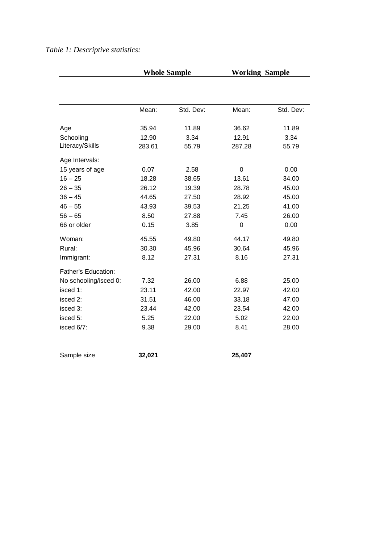# *Table 1: Descriptive statistics:*

|                       | <b>Whole Sample</b> |           | <b>Working Sample</b> |           |  |  |
|-----------------------|---------------------|-----------|-----------------------|-----------|--|--|
|                       |                     |           |                       |           |  |  |
|                       |                     |           |                       |           |  |  |
|                       | Mean:               | Std. Dev: | Mean:                 | Std. Dev: |  |  |
| Age                   | 35.94               | 11.89     | 36.62                 | 11.89     |  |  |
| Schooling             | 12.90               | 3.34      | 12.91                 | 3.34      |  |  |
| Literacy/Skills       | 283.61              | 55.79     | 287.28                | 55.79     |  |  |
| Age Intervals:        |                     |           |                       |           |  |  |
| 15 years of age       | 0.07                | 2.58      | 0                     | 0.00      |  |  |
| $16 - 25$             | 18.28               | 38.65     | 13.61                 | 34.00     |  |  |
| $26 - 35$             | 26.12               | 19.39     | 28.78                 | 45.00     |  |  |
| $36 - 45$             | 44.65               | 27.50     | 28.92                 | 45.00     |  |  |
| $46 - 55$             | 43.93               | 39.53     | 21.25                 | 41.00     |  |  |
| $56 - 65$             | 8.50                | 27.88     | 7.45                  | 26.00     |  |  |
| 66 or older           | 0.15                | 3.85      | $\mathbf 0$           | 0.00      |  |  |
| Woman:                | 45.55               | 49.80     | 44.17                 | 49.80     |  |  |
| Rural:                | 30.30               | 45.96     | 30.64                 | 45.96     |  |  |
| Immigrant:            | 8.12                | 27.31     | 8.16                  | 27.31     |  |  |
| Father's Education:   |                     |           |                       |           |  |  |
| No schooling/isced 0: | 7.32                | 26.00     | 6.88                  | 25.00     |  |  |
| isced 1:              | 23.11               | 42.00     | 22.97                 | 42.00     |  |  |
| isced 2:              | 31.51               | 46.00     | 33.18                 | 47.00     |  |  |
| isced 3:              | 23.44               | 42.00     | 23.54                 | 42.00     |  |  |
| isced 5:              | 5.25                | 22.00     | 5.02                  | 22.00     |  |  |
| isced 6/7:            | 9.38                | 29.00     | 8.41                  | 28.00     |  |  |
|                       |                     |           |                       |           |  |  |
| Sample size           | 32,021              |           | 25,407                |           |  |  |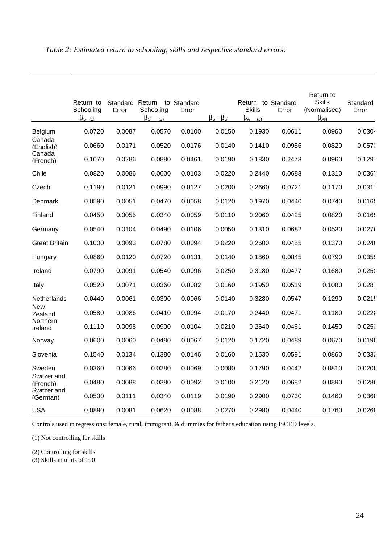|                         | Return to<br>Schooling<br>$\beta$ s (1) | Error  | Standard Return to Standard<br>Schooling<br>$\beta_{\mathcal{S}^*}$<br>(2) | Error  | $\beta$ s - $\beta$ s | Return to Standard<br><b>Skills</b><br>$\beta_A$<br>(3) | Error  | Return to<br><b>Skills</b><br>(Normalised)<br>$\beta_{AN}$ | Standard<br>Error |
|-------------------------|-----------------------------------------|--------|----------------------------------------------------------------------------|--------|-----------------------|---------------------------------------------------------|--------|------------------------------------------------------------|-------------------|
| Belgium                 | 0.0720                                  | 0.0087 | 0.0570                                                                     | 0.0100 | 0.0150                | 0.1930                                                  | 0.0611 | 0.0960                                                     | 0.0304            |
| Canada<br>(Enalish)     | 0.0660                                  | 0.0171 | 0.0520                                                                     | 0.0176 | 0.0140                | 0.1410                                                  | 0.0986 | 0.0820                                                     | 0.057             |
| Canada<br>(French)      | 0.1070                                  | 0.0286 | 0.0880                                                                     | 0.0461 | 0.0190                | 0.1830                                                  | 0.2473 | 0.0960                                                     | 0.129.            |
| Chile                   | 0.0820                                  | 0.0086 | 0.0600                                                                     | 0.0103 | 0.0220                | 0.2440                                                  | 0.0683 | 0.1310                                                     | 0.0367            |
| Czech                   | 0.1190                                  | 0.0121 | 0.0990                                                                     | 0.0127 | 0.0200                | 0.2660                                                  | 0.0721 | 0.1170                                                     | 0.031             |
| Denmark                 | 0.0590                                  | 0.0051 | 0.0470                                                                     | 0.0058 | 0.0120                | 0.1970                                                  | 0.0440 | 0.0740                                                     | 0.0165            |
| Finland                 | 0.0450                                  | 0.0055 | 0.0340                                                                     | 0.0059 | 0.0110                | 0.2060                                                  | 0.0425 | 0.0820                                                     | 0.0169            |
| Germany                 | 0.0540                                  | 0.0104 | 0.0490                                                                     | 0.0106 | 0.0050                | 0.1310                                                  | 0.0682 | 0.0530                                                     | 0.0276            |
| Great Britain           | 0.1000                                  | 0.0093 | 0.0780                                                                     | 0.0094 | 0.0220                | 0.2600                                                  | 0.0455 | 0.1370                                                     | 0.024(            |
| Hungary                 | 0.0860                                  | 0.0120 | 0.0720                                                                     | 0.0131 | 0.0140                | 0.1860                                                  | 0.0845 | 0.0790                                                     | 0.0359            |
| Ireland                 | 0.0790                                  | 0.0091 | 0.0540                                                                     | 0.0096 | 0.0250                | 0.3180                                                  | 0.0477 | 0.1680                                                     | 0.0252            |
| Italy                   | 0.0520                                  | 0.0071 | 0.0360                                                                     | 0.0082 | 0.0160                | 0.1950                                                  | 0.0519 | 0.1080                                                     | 0.0287            |
| Netherlands             | 0.0440                                  | 0.0061 | 0.0300                                                                     | 0.0066 | 0.0140                | 0.3280                                                  | 0.0547 | 0.1290                                                     | 0.0215            |
| New<br>Zealand          | 0.0580                                  | 0.0086 | 0.0410                                                                     | 0.0094 | 0.0170                | 0.2440                                                  | 0.0471 | 0.1180                                                     | 0.0228            |
| Northern<br>Ireland     | 0.1110                                  | 0.0098 | 0.0900                                                                     | 0.0104 | 0.0210                | 0.2640                                                  | 0.0461 | 0.1450                                                     | 0.025             |
| Norway                  | 0.0600                                  | 0.0060 | 0.0480                                                                     | 0.0067 | 0.0120                | 0.1720                                                  | 0.0489 | 0.0670                                                     | 0.0190            |
| Slovenia                | 0.1540                                  | 0.0134 | 0.1380                                                                     | 0.0146 | 0.0160                | 0.1530                                                  | 0.0591 | 0.0860                                                     | 0.0332            |
| Sweden                  | 0.0360                                  | 0.0066 | 0.0280                                                                     | 0.0069 | 0.0080                | 0.1790                                                  | 0.0442 | 0.0810                                                     | 0.020(            |
| Switzerland<br>(French) | 0.0480                                  | 0.0088 | 0.0380                                                                     | 0.0092 | 0.0100                | 0.2120                                                  | 0.0682 | 0.0890                                                     | 0.0286            |
| Switzerland<br>(German) | 0.0530                                  | 0.0111 | 0.0340                                                                     | 0.0119 | 0.0190                | 0.2900                                                  | 0.0730 | 0.1460                                                     | 0.0368            |
| USA                     | 0.0890                                  | 0.0081 | 0.0620                                                                     | 0.0088 | 0.0270                | 0.2980                                                  | 0.0440 | 0.1760                                                     | 0.0260            |

# *Table 2: Estimated return to schooling, skills and respective standard errors:*

Controls used in regressions: female, rural, immigrant, & dummies for father's education using ISCED levels.

(1) Not controlling for skills

(2) Controlling for skills

(3) Skills in units of 100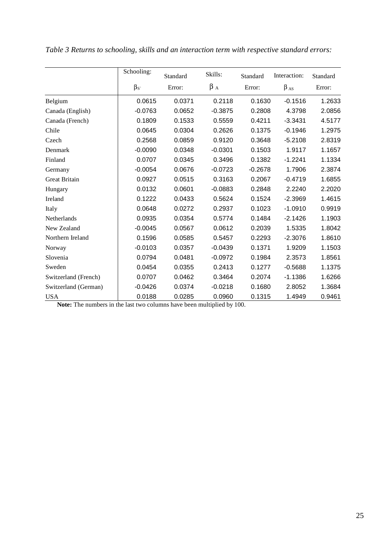|                      | Schooling:  | Standard | Skills:   | Standard  | Interaction: | Standard |
|----------------------|-------------|----------|-----------|-----------|--------------|----------|
|                      | $\beta_{S}$ | Error:   | $\beta_A$ | Error:    | $\beta_{AS}$ | Error:   |
| Belgium              | 0.0615      | 0.0371   | 0.2118    | 0.1630    | $-0.1516$    | 1.2633   |
| Canada (English)     | $-0.0763$   | 0.0652   | $-0.3875$ | 0.2808    | 4.3798       | 2.0856   |
| Canada (French)      | 0.1809      | 0.1533   | 0.5559    | 0.4211    | $-3.3431$    | 4.5177   |
| Chile                | 0.0645      | 0.0304   | 0.2626    | 0.1375    | $-0.1946$    | 1.2975   |
| Czech                | 0.2568      | 0.0859   | 0.9120    | 0.3648    | $-5.2108$    | 2.8319   |
| Denmark              | $-0.0090$   | 0.0348   | $-0.0301$ | 0.1503    | 1.9117       | 1.1657   |
| Finland              | 0.0707      | 0.0345   | 0.3496    | 0.1382    | $-1.2241$    | 1.1334   |
| Germany              | $-0.0054$   | 0.0676   | $-0.0723$ | $-0.2678$ | 1.7906       | 2.3874   |
| <b>Great Britain</b> | 0.0927      | 0.0515   | 0.3163    | 0.2067    | $-0.4719$    | 1.6855   |
| Hungary              | 0.0132      | 0.0601   | $-0.0883$ | 0.2848    | 2.2240       | 2.2020   |
| Ireland              | 0.1222      | 0.0433   | 0.5624    | 0.1524    | $-2.3969$    | 1.4615   |
| Italy                | 0.0648      | 0.0272   | 0.2937    | 0.1023    | $-1.0910$    | 0.9919   |
| Netherlands          | 0.0935      | 0.0354   | 0.5774    | 0.1484    | $-2.1426$    | 1.1903   |
| New Zealand          | $-0.0045$   | 0.0567   | 0.0612    | 0.2039    | 1.5335       | 1.8042   |
| Northern Ireland     | 0.1596      | 0.0585   | 0.5457    | 0.2293    | $-2.3076$    | 1.8610   |
| Norway               | $-0.0103$   | 0.0357   | $-0.0439$ | 0.1371    | 1.9209       | 1.1503   |
| Slovenia             | 0.0794      | 0.0481   | $-0.0972$ | 0.1984    | 2.3573       | 1.8561   |
| Sweden               | 0.0454      | 0.0355   | 0.2413    | 0.1277    | $-0.5688$    | 1.1375   |
| Switzerland (French) | 0.0707      | 0.0462   | 0.3464    | 0.2074    | $-1.1386$    | 1.6266   |
| Switzerland (German) | $-0.0426$   | 0.0374   | $-0.0218$ | 0.1680    | 2.8052       | 1.3684   |
| <b>USA</b>           | 0.0188      | 0.0285   | 0.0960    | 0.1315    | 1.4949       | 0.9461   |

*Table 3 Returns to schooling, skills and an interaction term with respective standard errors:* 

**Note:** The numbers in the last two columns have been multiplied by 100.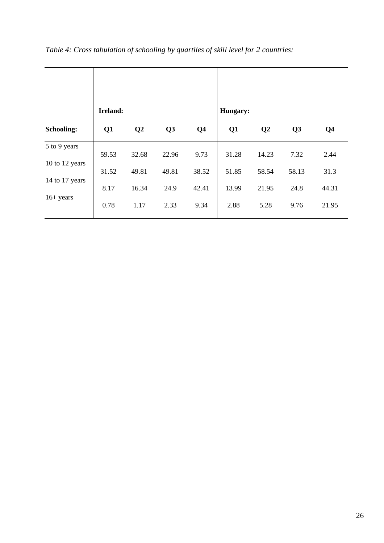|                                | Ireland: |                |       |                | Hungary: |                |       |                |
|--------------------------------|----------|----------------|-------|----------------|----------|----------------|-------|----------------|
| <b>Schooling:</b>              | Q1       | Q <sub>2</sub> | Q3    | Q <sub>4</sub> | Q1       | Q <sub>2</sub> | Q3    | Q <sub>4</sub> |
| 5 to 9 years<br>10 to 12 years | 59.53    | 32.68          | 22.96 | 9.73           | 31.28    | 14.23          | 7.32  | 2.44           |
|                                | 31.52    | 49.81          | 49.81 | 38.52          | 51.85    | 58.54          | 58.13 | 31.3           |
| 14 to 17 years                 | 8.17     | 16.34          | 24.9  | 42.41          | 13.99    | 21.95          | 24.8  | 44.31          |
| $16 + years$                   | 0.78     | 1.17           | 2.33  | 9.34           | 2.88     | 5.28           | 9.76  | 21.95          |

*Table 4: Cross tabulation of schooling by quartiles of skill level for 2 countries:*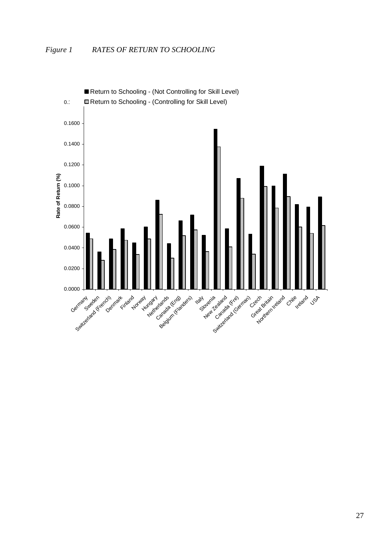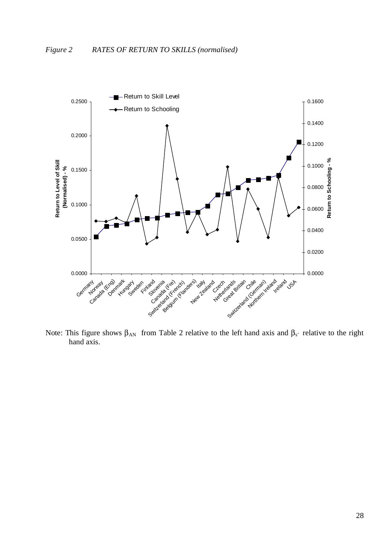

Note: This figure shows  $β_{AN}$  from Table 2 relative to the left hand axis and  $β_s$ ' relative to the right hand axis.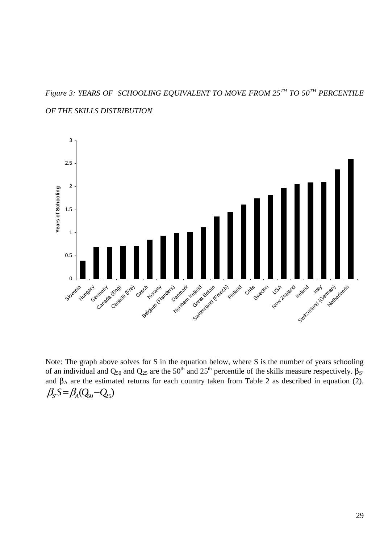*Figure 3: YEARS OF SCHOOLING EQUIVALENT TO MOVE FROM 25TH TO 50TH PERCENTILE OF THE SKILLS DISTRIBUTION* 



Note: The graph above solves for S in the equation below, where S is the number of years schooling of an individual and Q<sub>50</sub> and Q<sub>25</sub> are the 50<sup>th</sup> and 25<sup>th</sup> percentile of the skills measure respectively. β<sub>S</sub> and  $\beta_A$  are the estimated returns for each country taken from Table 2 as described in equation (2).  $\beta_{S} S = \beta_{A} (Q_{50} - Q_{25})$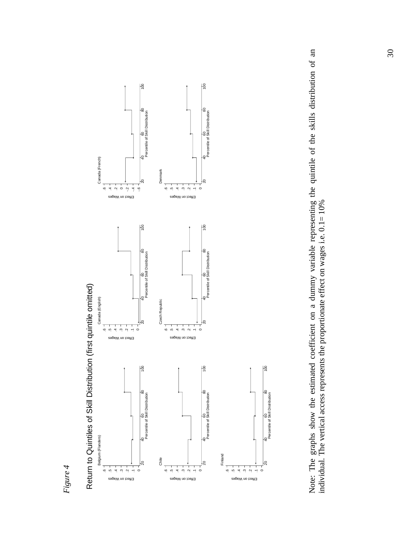



Note: The graphs show the estimated coefficient on a dummy variable representing the quintile of the skills distribution of an individual. The vertical access represents the proportionate effect on wages i.e.  $0.1 = 10\%$ Note: The graphs show the estimated coefficient on a dummy variable representing the quintile of the skills distribution of an individual. The vertical access represents the proportionate effect on wages i.e. 0.1= 10%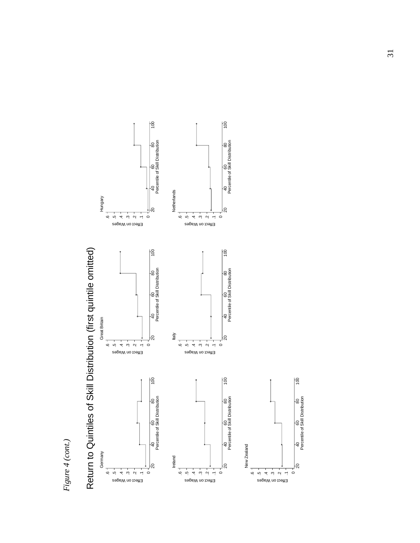





Percentile of Skill Distribution